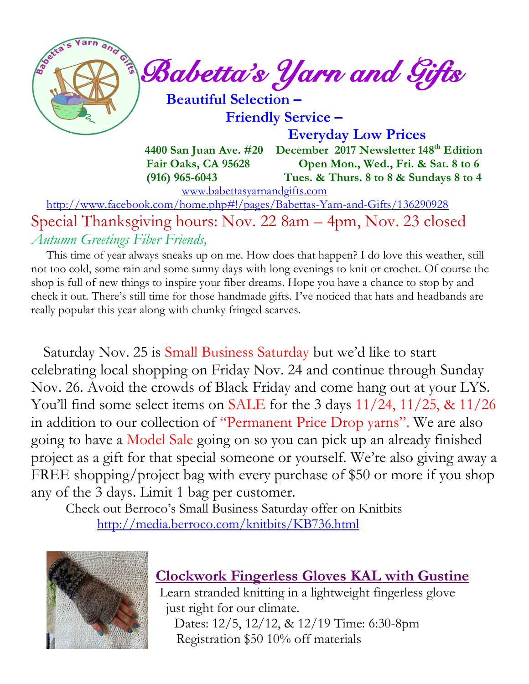

 **Friendly Service –**

 **Everyday Low Prices**

 **4400 San Juan Ave. #20 December 2017 Newsletter 148 th Edition Fair Oaks, CA 95628 Open Mon., Wed., Fri. & Sat. 8 to 6 (916) 965-6043 Tues. & Thurs. 8 to 8 & Sundays 8 to 4** 

[www.babettasyarnandgifts.com](http://www.babettasyarnandgifts.com/)

 <http://www.facebook.com/home.php#!/pages/Babettas-Yarn-and-Gifts/136290928> Special Thanksgiving hours: Nov. 22 8am – 4pm, Nov. 23 closed *Autumn Greetings Fiber Friends,*

 This time of year always sneaks up on me. How does that happen? I do love this weather, still not too cold, some rain and some sunny days with long evenings to knit or crochet. Of course the shop is full of new things to inspire your fiber dreams. Hope you have a chance to stop by and check it out. There's still time for those handmade gifts. I've noticed that hats and headbands are really popular this year along with chunky fringed scarves.

 Saturday Nov. 25 is Small Business Saturday but we'd like to start celebrating local shopping on Friday Nov. 24 and continue through Sunday Nov. 26. Avoid the crowds of Black Friday and come hang out at your LYS. You'll find some select items on SALE for the 3 days  $11/24$ ,  $11/25$ , &  $11/26$ in addition to our collection of "Permanent Price Drop yarns". We are also going to have a Model Sale going on so you can pick up an already finished project as a gift for that special someone or yourself. We're also giving away a FREE shopping/project bag with every purchase of \$50 or more if you shop any of the 3 days. Limit 1 bag per customer.

 Check out Berroco's Small Business Saturday offer on Knitbits <http://media.berroco.com/knitbits/KB736.html>



# **Clockwork Fingerless Gloves KAL with Gustine**

Learn stranded knitting in a lightweight fingerless glove just right for our climate. Dates: 12/5, 12/12, & 12/19 Time: 6:30-8pm Registration \$50 10% off materials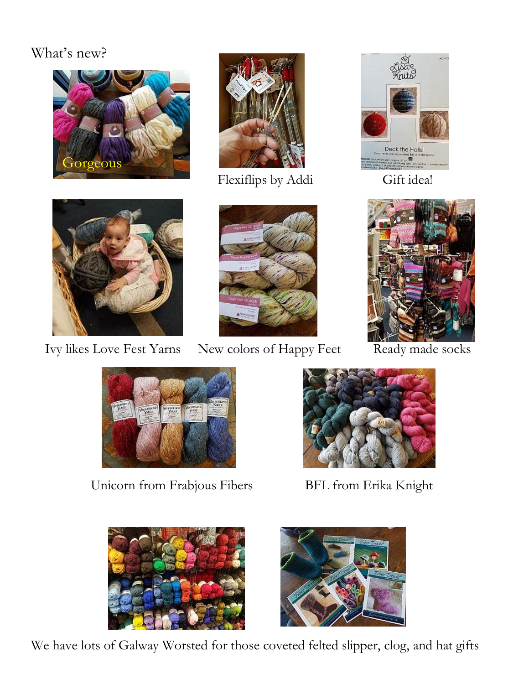# What's new?





Flexiflips by Addi Gift idea!







Ivy likes Love Fest Yarns New colors of Happy Feet Ready made socks





Unicorn from Frabjous Fibers BFL from Erika Knight







We have lots of Galway Worsted for those coveted felted slipper, clog, and hat gifts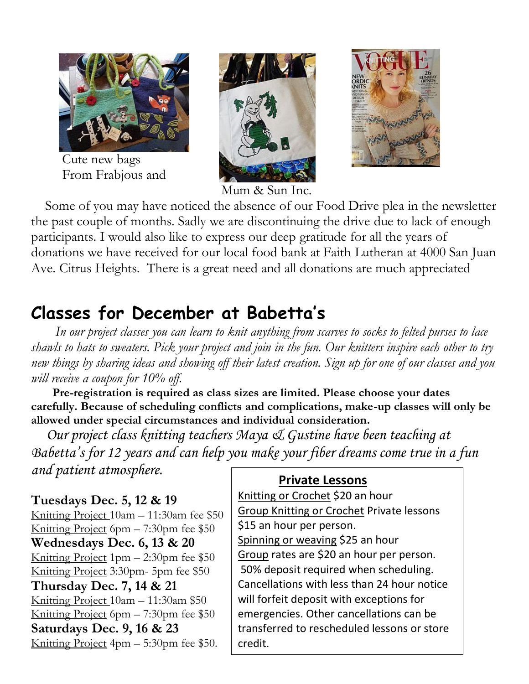

Cute new bags From Frabjous and





Mum & Sun Inc.

Some of you may have noticed the absence of our Food Drive plea in the newsletter the past couple of months. Sadly we are discontinuing the drive due to lack of enough participants. I would also like to express our deep gratitude for all the years of donations we have received for our local food bank at Faith Lutheran at 4000 San Juan Ave. Citrus Heights. There is a great need and all donations are much appreciated

# **Classes for December at Babetta's**

 *In our project classes you can learn to knit anything from scarves to socks to felted purses to lace shawls to hats to sweaters. Pick your project and join in the fun. Our knitters inspire each other to try new things by sharing ideas and showing off their latest creation. Sign up for one of our classes and you will receive a coupon for 10% off.*

 **Pre-registration is required as class sizes are limited. Please choose your dates carefully. Because of scheduling conflicts and complications, make-up classes will only be allowed under special circumstances and individual consideration.**

*Our project class knitting teachers Maya & Gustine have been teaching at Babetta's for 12 years and can help you make your fiber dreams come true in a fun and patient atmosphere.*

#### **Tuesdays Dec. 5, 12 & 19**

Knitting Project 10am – 11:30am fee \$50 Knitting Project 6pm – 7:30pm fee \$50 **Wednesdays Dec. 6, 13 & 20** Knitting Project 1pm – 2:30pm fee \$50 Knitting Project 3:30pm- 5pm fee \$50 **Thursday Dec. 7, 14 & 21** Knitting Project 10am – 11:30am \$50 Knitting Project 6pm – 7:30pm fee \$50 **Saturdays Dec. 9, 16 & 23** Knitting Project 4pm – 5:30pm fee \$50.

#### **Private Lessons**

Knitting or Crochet \$20 an hour Group Knitting or Crochet Private lessons \$15 an hour per person. Spinning or weaving \$25 an hour Group rates are \$20 an hour per person. 50% deposit required when scheduling. Cancellations with less than 24 hour notice will forfeit deposit with exceptions for emergencies. Other cancellations can be transferred to rescheduled lessons or store credit.